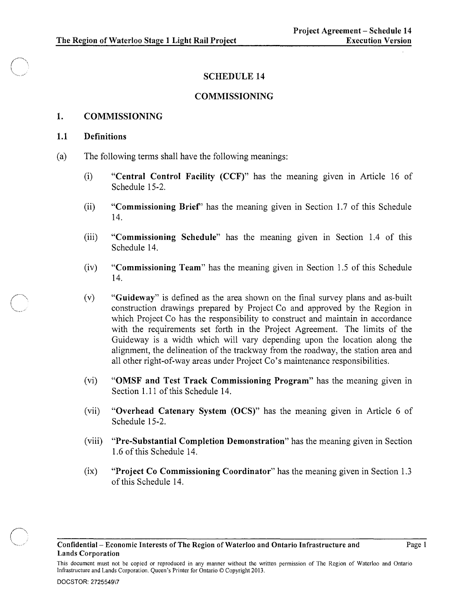#### SCHEDULE 14

#### COMMISSIONING

#### 1. COMMISSIONING

#### 1.1 Definitions

- (a) The following terms shall have the following meanings:
	- (i) "Central Control Facility (CCF)" has the meaning given in Article 16 of Schedule 15-2.
	- (ii) "Commissioning Brief' has the meaning given in Section 1.7 of this Schedule 14.
	- (iii) "Commissioning Schedule" has the meaning given in Section 1.4 of this Schedule 14.
	- (iv) "Commissioning Team" has the meaning given in Section 1.5 of this Schedule 14.
	- (v) "Guideway" is defined as the area shown on the final survey plans and as-built construction drawings prepared by Project Co and approved by the Region in which Project Co has the responsibility to construct and maintain in accordance with the requirements set forth in the Project Agreement. The limits of the Guideway is a width which will vary depending upon the location along the alignment, the delineation of the trackway from the roadway, the station area and all other right-of-way areas under Project Co's maintenance responsibilities.
	- (vi) "OMSF and Test Track Commissioning Program" has the meaning given in Section 1.11 of this Schedule 14.
	- (vii) "Overhead Catenary System (OCS)" has the meaning given in Article 6 of Schedule 15-2.
	- (viii) "Pre-Substantial Completion Demonstration" has the meaning given in Section 1.6 of this Schedule 14.
	- (ix) "Project Co Commissioning Coordinator" has the meaning given in Section 1.3 of this Schedule 14.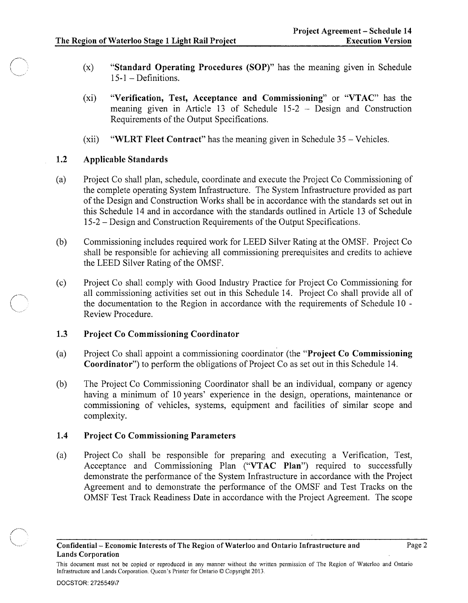- (x) "Standard Operating Procedures (SOP)" has the meaning given in Schedule 15-1 - Definitions.
- (xi) "Verification, Test, Acceptance and Commissioning" or "VTAC" has the meaning given in Article 13 of Schedule 15-2 - Design and Construction Requirements of the Output Specifications.
- $(xii)$  "WLRT Fleet Contract" has the meaning given in Schedule 35 Vehicles.

#### 1.2 Applicable Standards

 $\diagup$ 

'"

- (a) Project Co shall plan, schedule, coordinate and execute the Project Co Commissioning of the complete operating System Infrastructure. The System Infrastructure provided as part of the Design and Construction Works shall be in accordance with the standards set out in this Schedule 14 and in accordance with the standards outlined in Article 13 of Schedule 15-2 - Design and Construction Requirements of the Output Specifications.
- (b) Commissioning includes required work for LEED Silver Rating at the OMSF. Project Co shall be responsible for achieving all commissioning prerequisites and credits to achieve the LEED Silver Rating of the OMSF.
- (c) Project Co shall comply with Good Industry Practice for Project Co Commissioning for all commissioning activities set out in this Schedule 14. Project Co shall provide all of the documentation to the Region in accordance with the requirements of Schedule  $10 -$ Review Procedure.

#### 1.3 Project Co Commissioning Coordinator

- (a) Project Co shall appoint a commissioning coordinator (the "Project Co Commissioning Coordinator") to perform the obligations of Project Co as set out in this Schedule 14.
- (b) The Project Co Commissioning Coordinator shall be an individual, company or agency having a minimum of 10 years' experience in the design, operations, maintenance or commissioning of vehicles, systems, equipment and facilities of similar scope and complexity.

#### 1.4 Project Co Commissioning Parameters

(a) Project Co shall be responsible for preparing and executing a Verification, Test, Acceptance and Commissioning Plan ("VTAC Plan") required to successfully demonstrate the performance of the System Infrastructure in accordance with the Project Agreement and to demonstrate the performance of the OMSF and Test Tracks on the OMSF Test Track Readiness Date in accordance with the Project Agreement. The scope

This document must not be copied or reproduced in any manner without the written permission of The Region of Waterloo and Ontario Infrastructure and Lands Corporation. Queen's Printer for Ontario © Copyright 2013.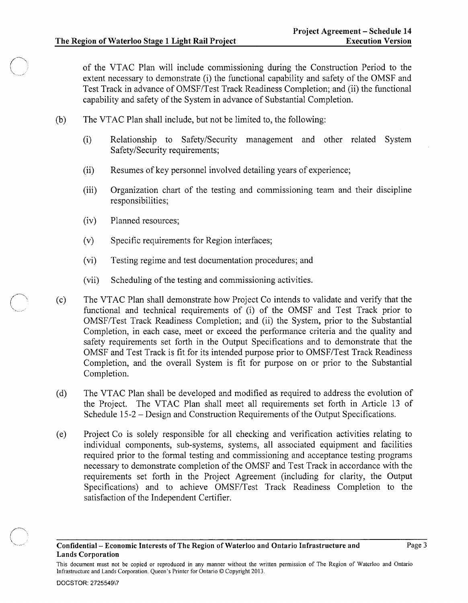of the VT AC Plan will include commissioning during the Construction Period to the extent necessary to demonstrate (i) the functional capability and safety of the OMSF and Test Track in advance of OMSF/Test Track Readiness Completion; and (ii) the functional capability and safety of the System in advance of Substantial Completion.

- (b) The VTAC Plan shall include, but not be limited to, the following:
	- (i) Relationship to Safety/Security management and other related System Safety/Security requirements;
	- (ii) Resumes of key personnel involved detailing years of experience;
	- (iii) Organization chart of the testing and commissioning team and their discipline responsibilities;
	- (iv) Planned resources;
	- (v) Specific requirements for Region interfaces;
	- (vi) Testing regime and test documentation procedures; and
	- (vii) Scheduling of the testing and commissioning activities.
- (c) The VTAC Plan shall demonstrate how Project Co intends to validate and verify that the functional and technical requirements of (i) of the OMSF and Test Track prior to OMSF/Test Track Readiness Completion; and (ii) the System, prior to the Substantial Completion, in each case, meet or exceed the performance criteria and the quality and safety requirements set forth in the Output Specifications and to demonstrate that the OMSF and Test Track is fit for its intended purpose prior to OMSF/Test Track Readiness Completion, and the overall System is fit for purpose on or prior to the Substantial Completion.
- (d) The VTAC Plan shall be developed and modified as required to address the evolution of the Project. The VTAC Plan shall meet all requirements set forth in Article 13 of Schedule 15-2 - Design and Construction Requirements of the Output Specifications.
- (e) Project Co is solely responsible for all checking and verification activities relating to individual components, sub-systems, systems, all associated equipment and facilities required prior to the formal testing and commissioning and acceptance testing programs necessary to demonstrate completion of the OMSF and Test Track in accordance with the requirements set forth in the Project Agreement (including for clarity, the Output Specifications) and to achieve OMSF/Test Track Readiness Completion to the satisfaction of the Independent Certifier.



 $\bigcap$  $\sqrt{2\pi}$ 

This document must not be copied or reproduced in any manner without the written permission of The Region of Waterloo and Ontario Infrastructure and Lands Corporation. Queen's Printer for Ontario © Copyright 2013.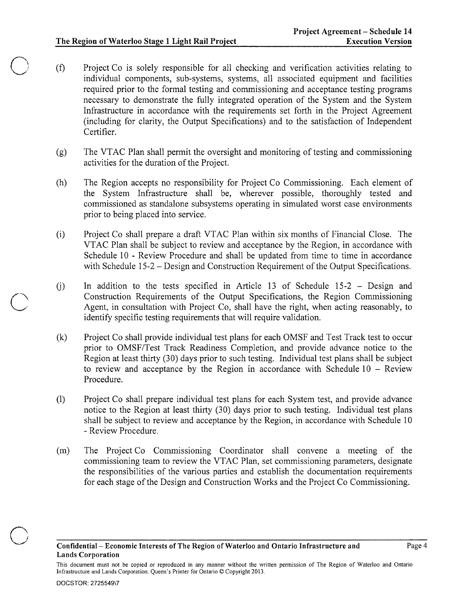- (f) Project Co is solely responsible for all checking and verification activities relating to individual components, sub-systems, systems, all associated equipment and facilities required prior to the formal testing and commissioning and acceptance testing programs necessary to demonstrate the fully integrated operation of the System and the System Infrastructure in accordance with the requirements set forth in the Project Agreement (including for clarity, the Output Specifications) and to the satisfaction of Independent Certifier.
- (g) The VTAC Plan shall permit the oversight and monitoring of testing and commissioning activities for the duration of the Project.
- (h) The Region accepts no responsibility for Project Co Commissioning. Each element of the System Infrastructure shall be, wherever possible, thoroughly tested and commissioned as standalone subsystems operating in simulated worst case environments prior to being placed into service.
- (i) Project Co shall prepare a draft VT AC Plan within six months of Financial Close. The VTAC Plan shall be subject to review and acceptance by the Region, in accordance with Schedule 10 - Review Procedure and shall be updated from time to time in accordance with Schedule 15-2 – Design and Construction Requirement of the Output Specifications.
- In addition to the tests specified in Article 13 of Schedule 15-2 Design and  $(i)$ Construction Requirements of the Output Specifications, the Region Commissioning Agent, in consultation with Project Co, shall have the right, when acting reasonably, to identify specific testing requirements that will require validation.
- (k) Project Co shall provide individual test plans for each OMSF and Test Track test to occur prior to OMSF/Test Track Readiness Completion, and provide advance notice to the Region at least thirty (30) days prior to such testing. Individual test plans shall be subject to review and acceptance by the Region in accordance with Schedule  $10 -$  Review Procedure.
- (1) Project Co shall prepare individual test plans for each System test, and provide advance notice to the Region at least thirty (30) days prior to such testing. Individual test plans shall be subject to review and acceptance by the Region, in accordance with Schedule 10 - Review Procedure.
- (m) The Project Co Commissioning Coordinator shall convene a meeting of the commissioning team to review the VT AC Plan, set commissioning parameters, designate the responsibilities of the various parties and establish the documentation requirements for each stage of the Design and Construction Works and the Project Co Commissioning.

This document must not be copied or reproduced in any manner without the written permission of The Region of Waterloo and Ontario Infrastructure and Lands Corporation. Queen's Printer for Ontario © Copyright 2013.

o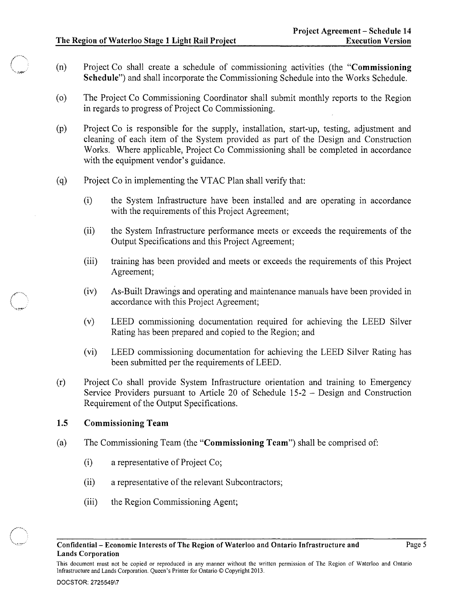- (n) Project Co shall create a schedule of commissioning activities (the "Commissioning") Schedule") and shall incorporate the Commissioning Schedule into the Works Schedule.
- (0) The Project Co Commissioning Coordinator shall submit monthly reports to the Region in regards to progress of Project Co Commissioning.
- (p) Project Co is responsible for the supply, installation, start-up, testing, adjustment and cleaning of each item of the System provided as part of the Design and Construction Works. Where applicable, Project Co Commissioning shall be completed in accordance with the equipment vendor's guidance.
- (q) Project Co in implementing the VTAC Plan shall verify that:
	- (i) the System Infrastructure have been installed and are operating in accordance with the requirements of this Project Agreement;
	- (ii) the System Infrastructure performance meets or exceeds the requirements of the Output Specifications and this Project Agreement;
	- (iii) training has been provided and meets or exceeds the requirements of this Project Agreement;
	- (iv) As-Built Drawings and operating and maintenance manuals have been provided in accordance with this Project Agreement;
	- (v) LEED commissioning documentation required for achieving the LEED Silver Rating has been prepared and copied to the Region; and
	- (vi) LEED commissioning documentation for achieving the LEED Silver Rating has been submitted per the requirements of LEED.
- (r) Project Co shall provide System Infrastructure orientation and training to Emergency Service Providers pursuant to Article 20 of Schedule 15-2 - Design and Construction Requirement of the Output Specifications.

## 1.5 Commissioning Team

()<br>Communication  $-$ 

- (a) The Commissioning Team (the "Commissioning Team") shall be comprised of:
	- (i) a representative of Project Co;
	- (ii) a representative of the relevant Subcontractors;
	- (iii) the Region Commissioning Agent;

This document must not be copied or reproduced in any manner without the written permission of The Region of Waterloo and Ontario Infrastructure and Lands Corporation. Queen's Printer for Ontario © Copyright 2013.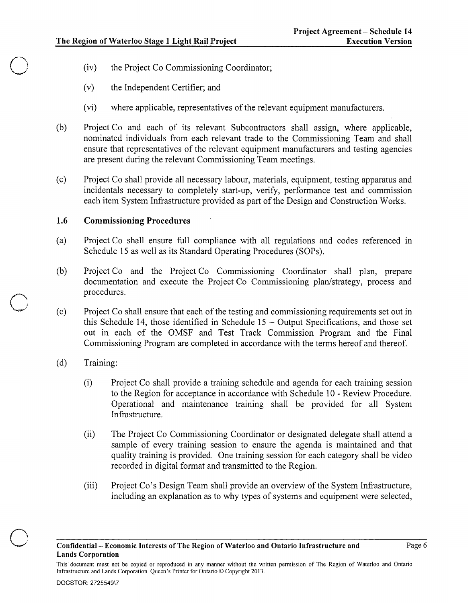- (iv) the Project Co Commissioning Coordinator;
- (v) the Independent Certifier; and
- (vi) where applicable, representatives of the relevant equipment manufacturers.
- (b) Project Co and each of its relevant Subcontractors shall assign, where applicable, nominated individuals from each relevant trade to the Commissioning Team and shall ensure that representatives of the relevant equipment manufacturers and testing agencies are present during the relevant Commissioning Team meetings.
- ( c) Project Co shall provide all necessary labour, materials, equipment, testing apparatus and incidentals necessary to completely start-up, verify, performance test and commission each item System Infrastructure provided as part of the Design and Construction Works.

#### 1.6 Commissioning Procedures

- (a) Project Co shall ensure full compliance with all regulations and codes referenced in Schedule 15 as well as its Standard Operating Procedures (SOPs).
- (b) Project Co and the Project Co Commissioning Coordinator shall plan, prepare documentation and execute the Project Co Commissioning plan/strategy, process and procedures.
- (c) Project Co shall ensure that each of the testing and commissioning requirements set out in this Schedule 14, those identified in Schedule 15 - Output Specifications, and those set out in each of the OMSF and Test Track Commission Program and the Final Commissioning Program are completed in accordance with the terms hereof and thereof.
- (d) Training:

 $\bigcirc$ 

 $\bigcirc$ 

- (i) Project Co shall provide a training schedule and agenda for each training session to the Region for acceptance in accordance with Schedule 10 - Review Procedure. Operational and maintenance training shall be provided for all System Infrastructure.
- (ii) The Project Co Commissioning Coordinator or designated delegate shall attend a sample of every training session to ensure the agenda is maintained and that quality training is provided. One training session for each category shall be video recorded in digital format and transmitted to the Region.
- (iii) Project Co's Design Team shall provide an overview of the System Infrastructure, including an explanation as to why types of systems and equipment were selected,

This· document must not be copied or reproduced in any manner without the written permission of The Region of Waterloo and Ontario Infrastructure and Lands Corporation. Queen's Printer for Ontario © Copyright 2013.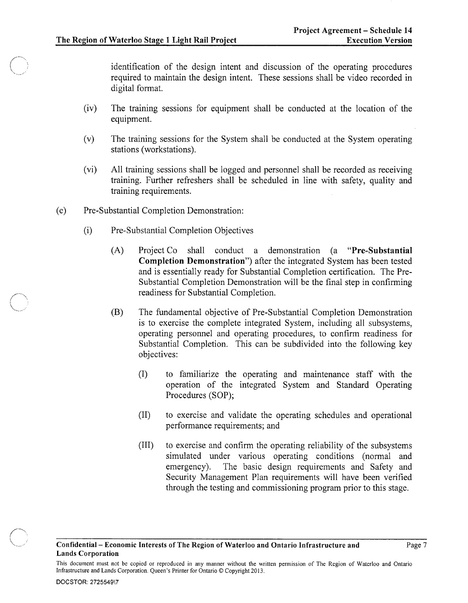identification of the design intent and discussion of the operating procedures required to maintain the design intent. These sessions shall be video recorded in digital format.

- (iv) The training sessions for equipment shall be conducted at the location of the equipment.
- (v) The training sessions for the System shall be conducted at the System operating stations (workstations).
- (vi) All training sessions shall be logged and personnel shall be recorded as receiving training. Further refreshers shall be scheduled in line with safety, quality and training requirements.
- (e) Pre-Substantial Completion Demonstration:
	- (i) Pre-Substantial Completion Objectives
		- (A) Project Co shall conduct a demonstration (a "Pre-Substantial Completion Demonstration") after the integrated System has been tested and is essentially ready for Substantial Completion certification. The Pre-Substantial Completion Demonstration will be the final step in confirming readiness for Substantial Completion.
		- (B) The fundamental objective of Pre-Substantial Completion Demonstration is to exercise the complete integrated System, including all subsystems, operating personnel and operating procedures, to confirm readiness for Substantial Completion. This can be subdivided into the following key objectives:
			- (I) to familiarize the operating and maintenance staff with the operation of the integrated System and Standard Operating Procedures (SOP);
			- (II) to exercise and validate the operating schedules and operational performance requirements; and
			- (III) to exercise and confirm the operating reliability of the subsystems simulated under various operating conditions (normal and emergency). The basic design requirements and Safety and Security Management Plan requirements will have been verified through the testing and commissioning program prior to this stage.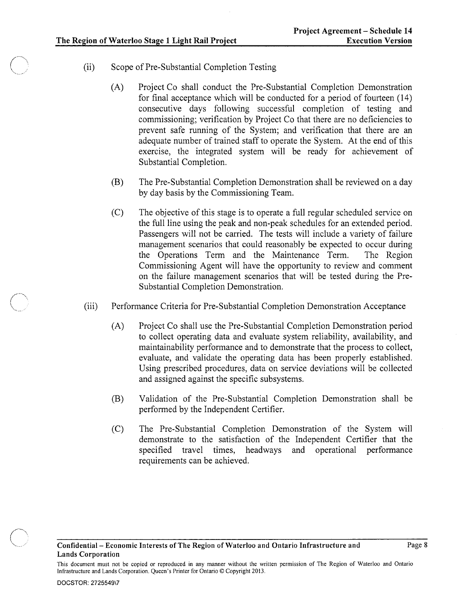- (ii) Scope of Pre-Substantial Completion Testing
	- (A) Project Co shall conduct the Pre-Substantial Completion Demonstration for final acceptance which will be conducted for a period of fourteen (14) consecutive days following successful completion of testing and commissioning; verification by Project Co that there are no deficiencies to prevent safe running of the System; and verification that there are an adequate number of trained staff to operate the System. At the end of this exercise, the integrated system will be ready for achievement of Substantial Completion.
	- (B) The Pre-Substantial Completion Demonstration shall be reviewed on a day by day basis by the Commissioning Team.
	- (C) The objective of this stage is to operate a full regular scheduled service on the full line using the peak and non-peak schedules for an extended period. Passengers will not be carried. The tests will include a variety of failure management scenarios that could reasonably be expected to occur during the Operations Term and the Maintenance Term. The Region Commissioning Agent will have the opportunity to review and comment on the failure management scenarios that will be tested during the Pre-Substantial Completion Demonstration.
- (iii) Performance Criteria for Pre-Substantial Completion Demonstration Acceptance
	- (A) Project Co shall use the Pre-Substantial Completion Demonstration period to collect operating data and evaluate system reliability, availability, and maintainability performance and to demonstrate that the process to collect, evaluate, and validate the operating data has been properly established. Using prescribed procedures, data on service deviations will be collected and assigned against the specific subsystems.
	- (B) Validation of the Pre-Substantial Completion Demonstration shall be performed by the Independent Certifier.
	- (C) The Pre-Substantial Completion Demonstration of the System will demonstrate to the satisfaction of the Independent Certifier that the specified travel times, headways and operational performance requirements can be achieved.

This document must not be copied or reproduced in any manner without the written permission of The Region of Waterloo and Ontario Infrastructure and Lands Corporation. Queen's Printer for Ontario © Copyright 2013.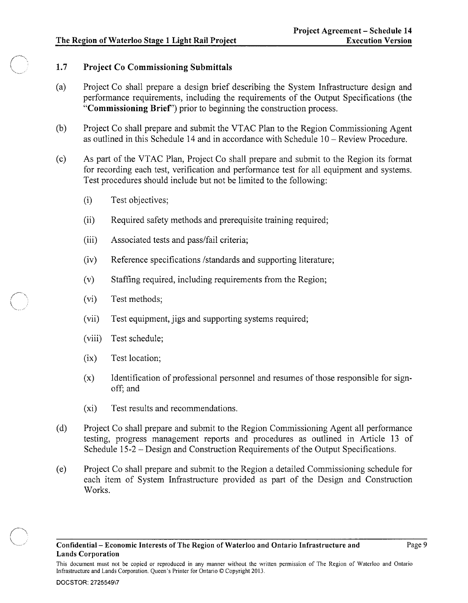#### **1.7 Project Co Commissioning Submittals**

- (a) Project Co shall prepare a design brief describing the System Infrastructure design and performance requirements, including the requirements of the Output Specifications (the **"Commissioning Brief')** prior to beginning the construction process.
- (b) Project Co shall prepare and submit the VTAC Plan to the Region Commissioning Agent as outlined in this Schedule 14 and in accordance with Schedule 10 - Review Procedure.
- (c) As part of the VTAC Plan, Project Co shall prepare and submit to the Region its format for recording each test, verification and performance test for all equipment and systems. Test procedures should include but not be limited to the following:
	- (i) Test objectives;
	- (ii) Required safety methods and prerequisite training required;
	- (iii) Associated tests and pass/fail criteria;
	- (iv) Reference specifications /standards and supporting literature;
	- (v) Staffing required, including requirements from the Region;
	- (vi) Test methods;

 $\alpha$ 

 $\sim$ 

- (vii) Test equipment, jigs and supporting systems required;
- (viii) Test schedule;
- (ix) Test location;
- (x) Identification of professional personnel and resumes of those responsible for signoff; and
- (xi) Test results and recommendations.
- (d) Project Co shall prepare and submit to the Region Commissioning Agent all performance testing, progress management reports and procedures as outlined in Article 13 of Schedule 15-2 - Design and Construction Requirements of the Output Specifications.
- (e) Project Co shall prepare and submit to the Region a detailed Commissioning schedule for each item of System Infrastructure provided as part of the Design and Construction Works.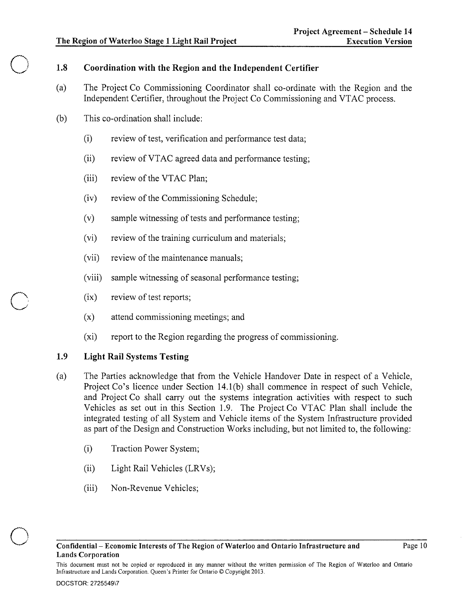$\bigcirc$ 

# 1.8 Coordination with the Region and the Independent Certifier

- (a) The Project Co Commissioning Coordinator shall co-ordinate with the Region and the Independent Certifier, throughout the Project Co Commissioning and VTAC process.
- (b) This co-ordination shall include:
	- (i) review of test, verification and performance test data;
	- (ii) review of VTAC agreed data and performance testing;
	- (iii) review of the VTAC Plan;
	- (iv) review of the Commissioning Schedule;
	- (v) sample witnessing of tests and performance testing;
	- (vi) review of the training curriculum and materials;
	- (vii) review of the maintenance manuals;
	- (viii) sample witnessing of seasonal performance testing;
	- (ix) review of test reports;
	- (x) attend commissioning meetings; and
	- (xi) report to the Region regarding the progress of commissioning.

# 1.9 Light Rail Systems Testing

- (a) The Parties acknowledge that from the Vehicle Handover Date in respect of a Vehicle, Project Co's licence under Section 14.1(b) shall commence in respect of such Vehicle, and Project Co shall carry out the systems integration activities with respect to such Vehicles as set out in this Section 1.9. The Project Co VTAC Plan shall include the integrated testing of all System and Vehicle items of the System Infrastructure provided as part of the Design and Construction Works including, but not limited to, the following:
	- (i) Traction Power System;
	- (ii) Light Rail Vehicles (LRVs);
	- (iii) Non-Revenue Vehicles;

This document must not be copied or reproduced in any manner without the written permission of The Region of Waterloo and Ontario Infrastructure and Lands Corporation. Queen's Printer for Ontario © Copyright 2013.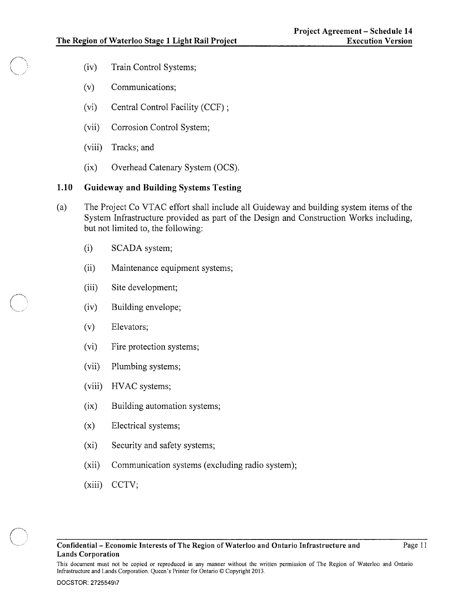- (iv) Train Control Systems;
- (v) Communications;
- (vi) Central Control Facility (CCF) ;
- (vii) Corrosion Control System;
- (viii) Tracks; and
- (ix) Overhead Catenary System (OCS).

#### 1.10 Guideway and Building Systems Testing

- (a) The Project Co VTAC effort shall include all Guideway and building system items of the System Infrastructure provided as part of the Design and Construction Works including, but not limited to, the following:
	- (i) SCADA system;
	- (ii) Maintenance equipment systems;
	- (iii) Site development;
	- (iv) Building envelope;
	- (v) Elevators;
	- (vi) Fire protection systems;
	- (vii) Plumbing systems;
	- (viii) HVAC systems;
	- (ix) Building automation systems;
	- (x) Electrical systems;
	- (xi) Security and safety systems;
	- (xii) Communication systems (excluding radio system);
	- (xiii) CCTV;

This document must not be copied or reproduced in any manner without the written permission of The Region of Waterloo and Ontario